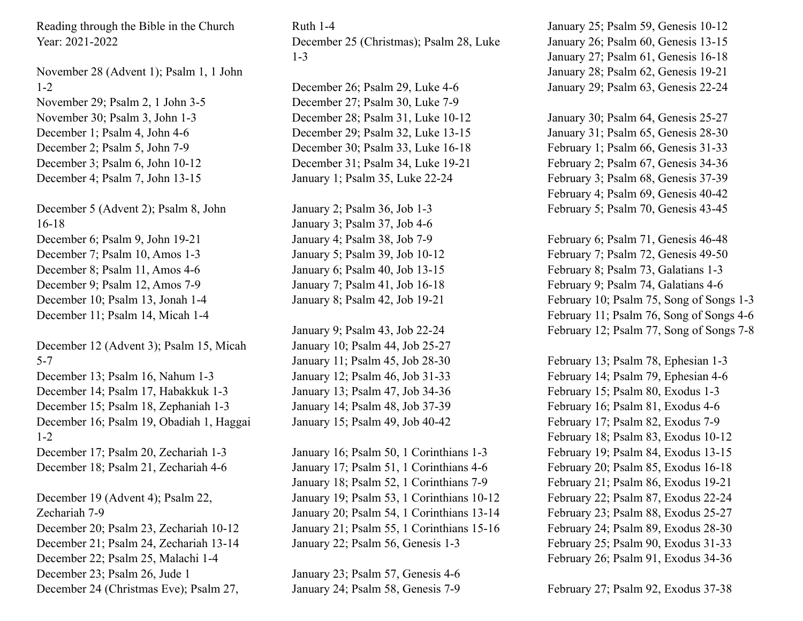Reading through the Bible in the Church Year: 2021-2022

November 28 (Advent 1); Psalm 1, 1 John 1-2 November 29; Psalm 2, 1 John 3-5 November 30; Psalm 3, John 1-3 December 1; Psalm 4, John 4-6 December 2; Psalm 5, John 7-9 December 3; Psalm 6, John 10-12 December 4; Psalm 7, John 13-15

December 5 (Advent 2); Psalm 8, John 16-18 December 6; Psalm 9, John 19-21 December 7; Psalm 10, Amos 1-3 December 8; Psalm 11, Amos 4-6 December 9; Psalm 12, Amos 7-9 December 10; Psalm 13, Jonah 1-4 December 11; Psalm 14, Micah 1-4

December 12 (Advent 3); Psalm 15, Micah 5-7 December 13; Psalm 16, Nahum 1-3 December 14; Psalm 17, Habakkuk 1-3 December 15; Psalm 18, Zephaniah 1-3 December 16; Psalm 19, Obadiah 1, Haggai 1-2 December 17; Psalm 20, Zechariah 1-3 December 18; Psalm 21, Zechariah 4-6

December 19 (Advent 4); Psalm 22, Zechariah 7-9 December 20; Psalm 23, Zechariah 10-12 December 21; Psalm 24, Zechariah 13-14 December 22; Psalm 25, Malachi 1-4 December 23; Psalm 26, Jude 1 December 24 (Christmas Eve); Psalm 27,

Ruth 1-4 December 25 (Christmas); Psalm 28, Luke 1-3

December 26; Psalm 29, Luke 4-6 December 27; Psalm 30, Luke 7-9 December 28; Psalm 31, Luke 10-12 December 29; Psalm 32, Luke 13-15 December 30; Psalm 33, Luke 16-18 December 31; Psalm 34, Luke 19-21 January 1; Psalm 35, Luke 22-24

January 2; Psalm 36, Job 1-3 January 3; Psalm 37, Job 4-6 January 4; Psalm 38, Job 7-9 January 5; Psalm 39, Job 10-12 January 6; Psalm 40, Job 13-15 January 7; Psalm 41, Job 16-18 January 8; Psalm 42, Job 19-21

January 9; Psalm 43, Job 22-24 January 10; Psalm 44, Job 25-27 January 11; Psalm 45, Job 28-30 January 12; Psalm 46, Job 31-33 January 13; Psalm 47, Job 34-36 January 14; Psalm 48, Job 37-39 January 15; Psalm 49, Job 40-42

January 16; Psalm 50, 1 Corinthians 1-3 January 17; Psalm 51, 1 Corinthians 4-6 January 18; Psalm 52, 1 Corinthians 7-9 January 19; Psalm 53, 1 Corinthians 10-12 January 20; Psalm 54, 1 Corinthians 13-14 January 21; Psalm 55, 1 Corinthians 15-16 January 22; Psalm 56, Genesis 1-3

January 23; Psalm 57, Genesis 4-6 January 24; Psalm 58, Genesis 7-9 January 25; Psalm 59, Genesis 10-12 January 26; Psalm 60, Genesis 13-15 January 27; Psalm 61, Genesis 16-18 January 28; Psalm 62, Genesis 19-21 January 29; Psalm 63, Genesis 22-24

January 30; Psalm 64, Genesis 25-27 January 31; Psalm 65, Genesis 28-30 February 1; Psalm 66, Genesis 31-33 February 2; Psalm 67, Genesis 34-36 February 3; Psalm 68, Genesis 37-39 February 4; Psalm 69, Genesis 40-42 February 5; Psalm 70, Genesis 43-45

February 6; Psalm 71, Genesis 46-48 February 7; Psalm 72, Genesis 49-50 February 8; Psalm 73, Galatians 1-3 February 9; Psalm 74, Galatians 4-6 February 10; Psalm 75, Song of Songs 1-3 February 11; Psalm 76, Song of Songs 4-6 February 12; Psalm 77, Song of Songs 7-8

February 13; Psalm 78, Ephesian 1-3 February 14; Psalm 79, Ephesian 4-6 February 15; Psalm 80, Exodus 1-3 February 16; Psalm 81, Exodus 4-6 February 17; Psalm 82, Exodus 7-9 February 18; Psalm 83, Exodus 10-12 February 19; Psalm 84, Exodus 13-15 February 20; Psalm 85, Exodus 16-18 February 21; Psalm 86, Exodus 19-21 February 22; Psalm 87, Exodus 22-24 February 23; Psalm 88, Exodus 25-27 February 24; Psalm 89, Exodus 28-30 February 25; Psalm 90, Exodus 31-33 February 26; Psalm 91, Exodus 34-36

February 27; Psalm 92, Exodus 37-38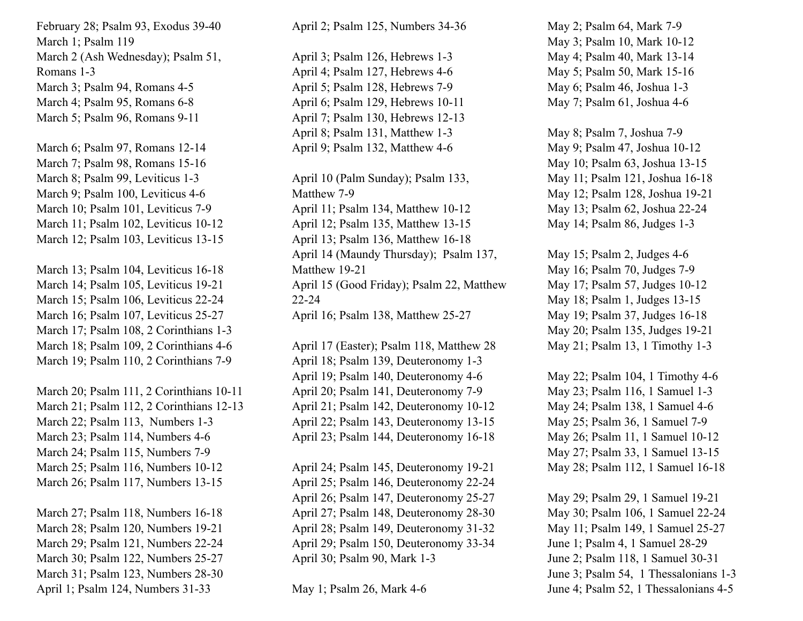February 28; Psalm 93, Exodus 39-40 March 1; Psalm 119 March 2 (Ash Wednesday); Psalm 51, Romans 1-3 March 3; Psalm 94, Romans 4-5 March 4; Psalm 95, Romans 6-8 March 5; Psalm 96, Romans 9-11

March 6; Psalm 97, Romans 12-14 March 7; Psalm 98, Romans 15-16 March 8; Psalm 99, Leviticus 1-3 March 9; Psalm 100, Leviticus 4-6 March 10; Psalm 101, Leviticus 7-9 March 11; Psalm 102, Leviticus 10-12 March 12; Psalm 103, Leviticus 13-15

March 13; Psalm 104, Leviticus 16-18 March 14; Psalm 105, Leviticus 19-21 March 15; Psalm 106, Leviticus 22-24 March 16; Psalm 107, Leviticus 25-27 March 17; Psalm 108, 2 Corinthians 1-3 March 18; Psalm 109, 2 Corinthians 4-6 March 19; Psalm 110, 2 Corinthians 7-9

March 20; Psalm 111, 2 Corinthians 10-11 March 21; Psalm 112, 2 Corinthians 12-13 March 22; Psalm 113, Numbers 1-3 March 23; Psalm 114, Numbers 4-6 March 24; Psalm 115, Numbers 7-9 March 25; Psalm 116, Numbers 10-12 March 26; Psalm 117, Numbers 13-15

March 27; Psalm 118, Numbers 16-18 March 28; Psalm 120, Numbers 19-21 March 29; Psalm 121, Numbers 22-24 March 30; Psalm 122, Numbers 25-27 March 31; Psalm 123, Numbers 28-30 April 1; Psalm 124, Numbers 31-33

April 2; Psalm 125, Numbers 34-36

April 3; Psalm 126, Hebrews 1-3 April 4; Psalm 127, Hebrews 4-6 April 5; Psalm 128, Hebrews 7-9 April 6; Psalm 129, Hebrews 10-11 April 7; Psalm 130, Hebrews 12-13 April 8; Psalm 131, Matthew 1-3 April 9; Psalm 132, Matthew 4-6

April 10 (Palm Sunday); Psalm 133, Matthew 7-9 April 11; Psalm 134, Matthew 10-12 April 12; Psalm 135, Matthew 13-15 April 13; Psalm 136, Matthew 16-18 April 14 (Maundy Thursday); Psalm 137, Matthew 19-21 April 15 (Good Friday); Psalm 22, Matthew 22-24 April 16; Psalm 138, Matthew 25-27

April 17 (Easter); Psalm 118, Matthew 28 April 18; Psalm 139, Deuteronomy 1-3 April 19; Psalm 140, Deuteronomy 4-6 April 20; Psalm 141, Deuteronomy 7-9 April 21; Psalm 142, Deuteronomy 10-12 April 22; Psalm 143, Deuteronomy 13-15 April 23; Psalm 144, Deuteronomy 16-18

April 24; Psalm 145, Deuteronomy 19-21 April 25; Psalm 146, Deuteronomy 22-24 April 26; Psalm 147, Deuteronomy 25-27 April 27; Psalm 148, Deuteronomy 28-30 April 28; Psalm 149, Deuteronomy 31-32 April 29; Psalm 150, Deuteronomy 33-34 April 30; Psalm 90, Mark 1-3

May 1; Psalm 26, Mark 4-6

May 2; Psalm 64, Mark 7-9 May 3; Psalm 10, Mark 10-12 May 4; Psalm 40, Mark 13-14 May 5; Psalm 50, Mark 15-16 May 6; Psalm 46, Joshua 1-3 May 7; Psalm 61, Joshua 4-6

May 8; Psalm 7, Joshua 7-9 May 9; Psalm 47, Joshua 10-12 May 10; Psalm 63, Joshua 13-15 May 11; Psalm 121, Joshua 16-18 May 12; Psalm 128, Joshua 19-21 May 13; Psalm 62, Joshua 22-24 May 14; Psalm 86, Judges 1-3

May 15; Psalm 2, Judges 4-6 May 16; Psalm 70, Judges 7-9 May 17; Psalm 57, Judges 10-12 May 18; Psalm 1, Judges 13-15 May 19; Psalm 37, Judges 16-18 May 20; Psalm 135, Judges 19-21 May 21; Psalm 13, 1 Timothy 1-3

May 22; Psalm 104, 1 Timothy 4-6 May 23; Psalm 116, 1 Samuel 1-3 May 24; Psalm 138, 1 Samuel 4-6 May 25; Psalm 36, 1 Samuel 7-9 May 26; Psalm 11, 1 Samuel 10-12 May 27; Psalm 33, 1 Samuel 13-15 May 28; Psalm 112, 1 Samuel 16-18

May 29; Psalm 29, 1 Samuel 19-21 May 30; Psalm 106, 1 Samuel 22-24 May 11; Psalm 149, 1 Samuel 25-27 June 1; Psalm 4, 1 Samuel 28-29 June 2; Psalm 118, 1 Samuel 30-31 June 3; Psalm 54, 1 Thessalonians 1-3 June 4; Psalm 52, 1 Thessalonians 4-5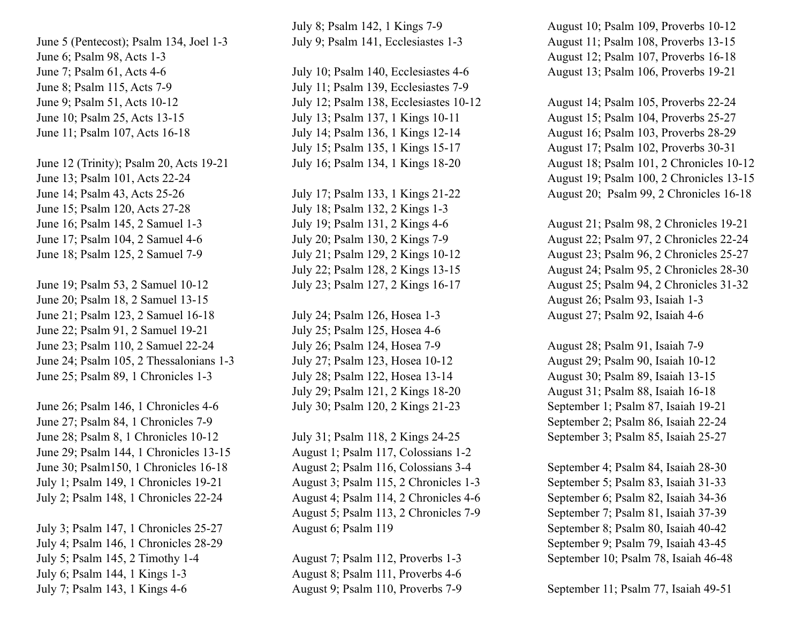June 5 (Pentecost); Psalm 134, Joel 1-3 June 6; Psalm 98, Acts 1-3 June 7; Psalm 61, Acts 4-6 June 8; Psalm 115, Acts 7-9 June 9; Psalm 51, Acts 10-12 June 10; Psalm 25, Acts 13-15 June 11; Psalm 107, Acts 16-18

June 12 (Trinity); Psalm 20, Acts 19-21 June 13; Psalm 101, Acts 22-24 June 14; Psalm 43, Acts 25-26 June 15; Psalm 120, Acts 27-28 June 16; Psalm 145, 2 Samuel 1-3 June 17; Psalm 104, 2 Samuel 4-6 June 18; Psalm 125, 2 Samuel 7-9

June 19; Psalm 53, 2 Samuel 10-12 June 20; Psalm 18, 2 Samuel 13-15 June 21; Psalm 123, 2 Samuel 16-18 June 22; Psalm 91, 2 Samuel 19-21 June 23; Psalm 110, 2 Samuel 22-24 June 24; Psalm 105, 2 Thessalonians 1-3 June 25; Psalm 89, 1 Chronicles 1-3

June 26; Psalm 146, 1 Chronicles 4-6 June 27; Psalm 84, 1 Chronicles 7-9 June 28; Psalm 8, 1 Chronicles 10-12 June 29; Psalm 144, 1 Chronicles 13-15 June 30; Psalm150, 1 Chronicles 16-18 July 1; Psalm 149, 1 Chronicles 19-21 July 2; Psalm 148, 1 Chronicles 22-24

July 3; Psalm 147, 1 Chronicles 25-27 July 4; Psalm 146, 1 Chronicles 28-29 July 5; Psalm 145, 2 Timothy 1-4 July 6; Psalm 144, 1 Kings 1-3 July 7; Psalm 143, 1 Kings 4-6

July 8; Psalm 142, 1 Kings 7-9 July 9; Psalm 141, Ecclesiastes 1-3

July 10; Psalm 140, Ecclesiastes 4-6 July 11; Psalm 139, Ecclesiastes 7-9 July 12; Psalm 138, Ecclesiastes 10-12 July 13; Psalm 137, 1 Kings 10-11 July 14; Psalm 136, 1 Kings 12-14 July 15; Psalm 135, 1 Kings 15-17 July 16; Psalm 134, 1 Kings 18-20

July 17; Psalm 133, 1 Kings 21-22 July 18; Psalm 132, 2 Kings 1-3 July 19; Psalm 131, 2 Kings 4-6 July 20; Psalm 130, 2 Kings 7-9 July 21; Psalm 129, 2 Kings 10-12 July 22; Psalm 128, 2 Kings 13-15 July 23; Psalm 127, 2 Kings 16-17

July 24; Psalm 126, Hosea 1-3 July 25; Psalm 125, Hosea 4-6 July 26; Psalm 124, Hosea 7-9 July 27; Psalm 123, Hosea 10-12 July 28; Psalm 122, Hosea 13-14 July 29; Psalm 121, 2 Kings 18-20 July 30; Psalm 120, 2 Kings 21-23

July 31; Psalm 118, 2 Kings 24-25 August 1; Psalm 117, Colossians 1-2 August 2; Psalm 116, Colossians 3-4 August 3; Psalm 115, 2 Chronicles 1-3 August 4; Psalm 114, 2 Chronicles 4-6 August 5; Psalm 113, 2 Chronicles 7-9 August 6; Psalm 119

August 7; Psalm 112, Proverbs 1-3 August 8; Psalm 111, Proverbs 4-6 August 9; Psalm 110, Proverbs 7-9 August 10; Psalm 109, Proverbs 10-12 August 11; Psalm 108, Proverbs 13-15 August 12; Psalm 107, Proverbs 16-18 August 13; Psalm 106, Proverbs 19-21

August 14; Psalm 105, Proverbs 22-24 August 15; Psalm 104, Proverbs 25-27 August 16; Psalm 103, Proverbs 28-29 August 17; Psalm 102, Proverbs 30-31 August 18; Psalm 101, 2 Chronicles 10-12 August 19; Psalm 100, 2 Chronicles 13-15 August 20; Psalm 99, 2 Chronicles 16-18

August 21; Psalm 98, 2 Chronicles 19-21 August 22; Psalm 97, 2 Chronicles 22-24 August 23; Psalm 96, 2 Chronicles 25-27 August 24; Psalm 95, 2 Chronicles 28-30 August 25; Psalm 94, 2 Chronicles 31-32 August 26; Psalm 93, Isaiah 1-3 August 27; Psalm 92, Isaiah 4-6

August 28; Psalm 91, Isaiah 7-9 August 29; Psalm 90, Isaiah 10-12 August 30; Psalm 89, Isaiah 13-15 August 31; Psalm 88, Isaiah 16-18 September 1; Psalm 87, Isaiah 19-21 September 2; Psalm 86, Isaiah 22-24 September 3; Psalm 85, Isaiah 25-27

September 4; Psalm 84, Isaiah 28-30 September 5; Psalm 83, Isaiah 31-33 September 6; Psalm 82, Isaiah 34-36 September 7; Psalm 81, Isaiah 37-39 September 8; Psalm 80, Isaiah 40-42 September 9; Psalm 79, Isaiah 43-45 September 10; Psalm 78, Isaiah 46-48

September 11; Psalm 77, Isaiah 49-51